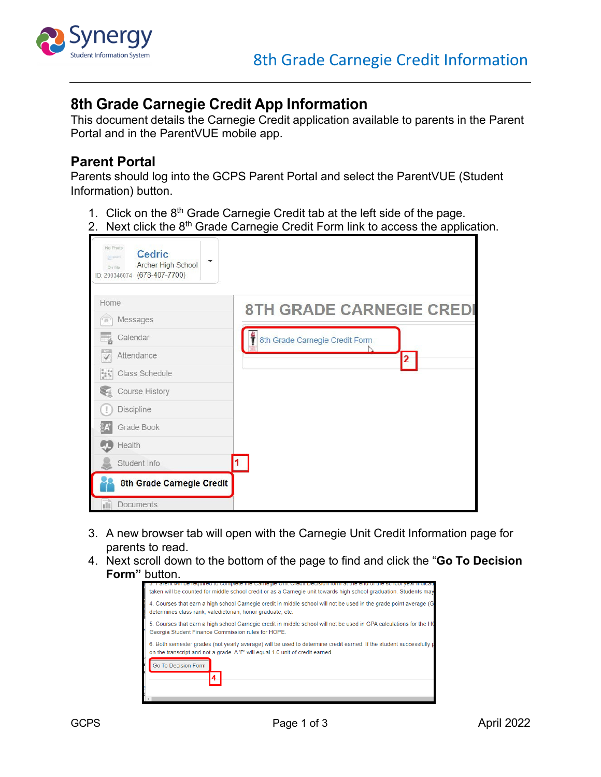

## **8th Grade Carnegie Credit App Information**

This document details the Carnegie Credit application available to parents in the Parent Portal and in the ParentVUE mobile app.

## **Parent Portal**

Parents should log into the GCPS Parent Portal and select the ParentVUE (Student Information) button.

- 1. Click on the 8<sup>th</sup> Grade Carnegie Credit tab at the left side of the page.
- 2. Next click the  $8<sup>th</sup>$  Grade Carnegie Credit Form link to access the application.

| No Photo<br><b>Cedric</b><br>Empoint.<br>$\blacktriangledown$<br>Archer High School<br>On file<br>ID: 200346074 (678-407-7700) |                                 |
|--------------------------------------------------------------------------------------------------------------------------------|---------------------------------|
| Home                                                                                                                           | <b>8TH GRADE CARNEGIE CREDI</b> |
| Messages<br>ිබ                                                                                                                 |                                 |
| Calendar                                                                                                                       | 8th Grade Carnegie Credit Form  |
| Attendance                                                                                                                     | 2                               |
| $\begin{smallmatrix} 0&&&0\\ 0&&&0\\ 0&&&0\\ 0&&&0 \end{smallmatrix}$<br>Class Schedule                                        |                                 |
| <b>Course History</b>                                                                                                          |                                 |
| <b>Discipline</b>                                                                                                              |                                 |
| Grade Book                                                                                                                     |                                 |
| Health                                                                                                                         |                                 |
| Student Info                                                                                                                   |                                 |
| 8th Grade Carnegie Credit                                                                                                      |                                 |
| <b>Documents</b>                                                                                                               |                                 |

- 3. A new browser tab will open with the Carnegie Unit Credit Information page for parents to read.
- 4. Next scroll down to the bottom of the page to find and click the "**Go To Decision Form"** button.

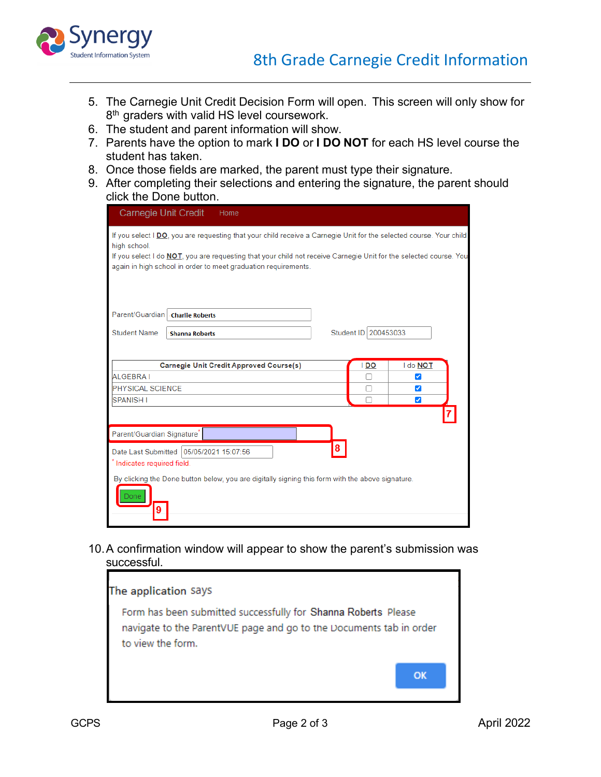

- 5. The Carnegie Unit Credit Decision Form will open. This screen will only show for 8<sup>th</sup> graders with valid HS level coursework.
- 6. The student and parent information will show.
- 7. Parents have the option to mark **I DO** or **I DO NOT** for each HS level course the student has taken.
- 8. Once those fields are marked, the parent must type their signature.
- 9. After completing their selections and entering the signature, the parent should click the Done button.

| <b>Carnegie Unit Credit</b>                                                                                                                                                                                                                                                                                                       |                                               | Home                                                                                             |  |      |          |  |  |
|-----------------------------------------------------------------------------------------------------------------------------------------------------------------------------------------------------------------------------------------------------------------------------------------------------------------------------------|-----------------------------------------------|--------------------------------------------------------------------------------------------------|--|------|----------|--|--|
| If you select I DO, you are requesting that your child receive a Carnegie Unit for the selected course. Your child<br>high school.<br>If you select I do <b>NOT</b> , you are requesting that your child not receive Carnegie Unit for the selected course. You<br>again in high school in order to meet graduation requirements. |                                               |                                                                                                  |  |      |          |  |  |
| Parent/Guardian   Charlie Roberts                                                                                                                                                                                                                                                                                                 |                                               |                                                                                                  |  |      |          |  |  |
| <b>Student Name</b>                                                                                                                                                                                                                                                                                                               | Student ID 200453033<br><b>Shanna Roberts</b> |                                                                                                  |  |      |          |  |  |
|                                                                                                                                                                                                                                                                                                                                   |                                               |                                                                                                  |  |      |          |  |  |
|                                                                                                                                                                                                                                                                                                                                   |                                               | <b>Carnegie Unit Credit Approved Course(s)</b>                                                   |  | I DO | I do NOT |  |  |
| <b>ALGEBRAI</b>                                                                                                                                                                                                                                                                                                                   |                                               |                                                                                                  |  |      | ✔        |  |  |
| <b>PHYSICAL SCIENCE</b>                                                                                                                                                                                                                                                                                                           |                                               |                                                                                                  |  | ☑    |          |  |  |
| <b>SPANISH I</b>                                                                                                                                                                                                                                                                                                                  |                                               |                                                                                                  |  |      | ✓        |  |  |
| Parent/Guardian Signature <sup>®</sup>                                                                                                                                                                                                                                                                                            |                                               |                                                                                                  |  |      |          |  |  |
| Date Last Submitted 05/05/2021 15:07:56<br>Indicates required field.                                                                                                                                                                                                                                                              |                                               |                                                                                                  |  |      |          |  |  |
|                                                                                                                                                                                                                                                                                                                                   |                                               | By clicking the Done button below, you are digitally signing this form with the above signature. |  |      |          |  |  |

10.A confirmation window will appear to show the parent's submission was successful.